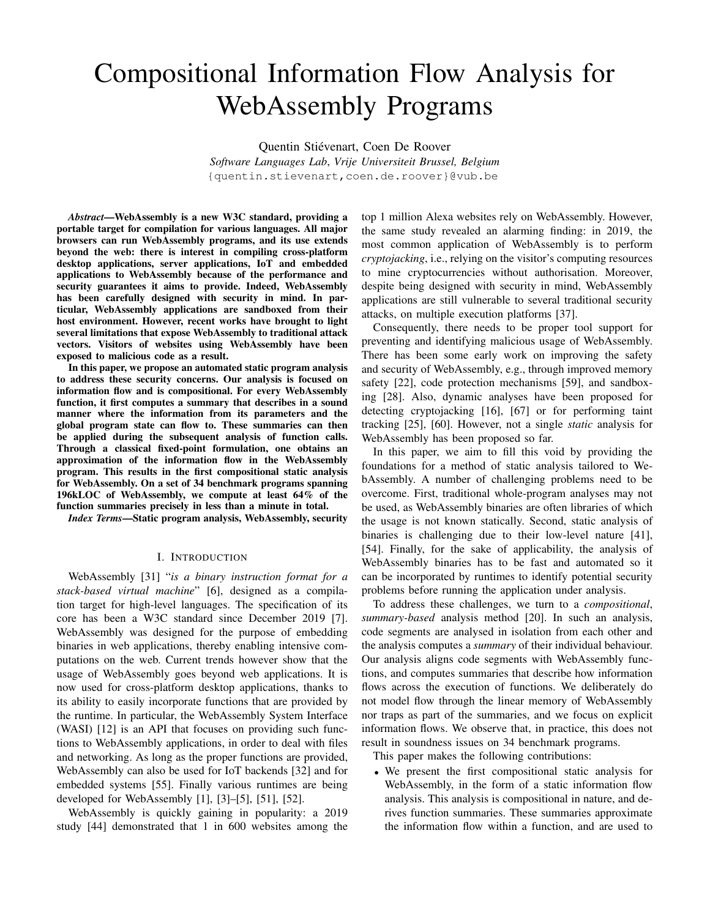# Compositional Information Flow Analysis for WebAssembly Programs

Quentin Stiévenart, Coen De Roover *Software Languages Lab*, *Vrije Universiteit Brussel, Belgium* {quentin.stievenart,coen.de.roover}@vub.be

*Abstract*—WebAssembly is a new W3C standard, providing a portable target for compilation for various languages. All major browsers can run WebAssembly programs, and its use extends beyond the web: there is interest in compiling cross-platform desktop applications, server applications, IoT and embedded applications to WebAssembly because of the performance and security guarantees it aims to provide. Indeed, WebAssembly has been carefully designed with security in mind. In particular, WebAssembly applications are sandboxed from their host environment. However, recent works have brought to light several limitations that expose WebAssembly to traditional attack vectors. Visitors of websites using WebAssembly have been exposed to malicious code as a result.

In this paper, we propose an automated static program analysis to address these security concerns. Our analysis is focused on information flow and is compositional. For every WebAssembly function, it first computes a summary that describes in a sound manner where the information from its parameters and the global program state can flow to. These summaries can then be applied during the subsequent analysis of function calls. Through a classical fixed-point formulation, one obtains an approximation of the information flow in the WebAssembly program. This results in the first compositional static analysis for WebAssembly. On a set of 34 benchmark programs spanning 196kLOC of WebAssembly, we compute at least 64% of the function summaries precisely in less than a minute in total.

*Index Terms*—Static program analysis, WebAssembly, security

### I. INTRODUCTION

WebAssembly [\[31\]](#page-10-0) "*is a binary instruction format for a stack-based virtual machine*" [\[6\]](#page-10-1), designed as a compilation target for high-level languages. The specification of its core has been a W3C standard since December 2019 [\[7\]](#page-10-2). WebAssembly was designed for the purpose of embedding binaries in web applications, thereby enabling intensive computations on the web. Current trends however show that the usage of WebAssembly goes beyond web applications. It is now used for cross-platform desktop applications, thanks to its ability to easily incorporate functions that are provided by the runtime. In particular, the WebAssembly System Interface (WASI) [\[12\]](#page-10-3) is an API that focuses on providing such functions to WebAssembly applications, in order to deal with files and networking. As long as the proper functions are provided, WebAssembly can also be used for IoT backends [\[32\]](#page-10-4) and for embedded systems [\[55\]](#page-11-0). Finally various runtimes are being developed for WebAssembly [\[1\]](#page-10-5), [\[3\]](#page-10-6)–[\[5\]](#page-10-7), [\[51\]](#page-11-1), [\[52\]](#page-11-2).

WebAssembly is quickly gaining in popularity: a 2019 study [\[44\]](#page-11-3) demonstrated that 1 in 600 websites among the top 1 million Alexa websites rely on WebAssembly. However, the same study revealed an alarming finding: in 2019, the most common application of WebAssembly is to perform *cryptojacking*, i.e., relying on the visitor's computing resources to mine cryptocurrencies without authorisation. Moreover, despite being designed with security in mind, WebAssembly applications are still vulnerable to several traditional security attacks, on multiple execution platforms [\[37\]](#page-10-8).

Consequently, there needs to be proper tool support for preventing and identifying malicious usage of WebAssembly. There has been some early work on improving the safety and security of WebAssembly, e.g., through improved memory safety [\[22\]](#page-10-9), code protection mechanisms [\[59\]](#page-11-4), and sandboxing [\[28\]](#page-10-10). Also, dynamic analyses have been proposed for detecting cryptojacking [\[16\]](#page-10-11), [\[67\]](#page-11-5) or for performing taint tracking [\[25\]](#page-10-12), [\[60\]](#page-11-6). However, not a single *static* analysis for WebAssembly has been proposed so far.

In this paper, we aim to fill this void by providing the foundations for a method of static analysis tailored to WebAssembly. A number of challenging problems need to be overcome. First, traditional whole-program analyses may not be used, as WebAssembly binaries are often libraries of which the usage is not known statically. Second, static analysis of binaries is challenging due to their low-level nature [\[41\]](#page-11-7), [\[54\]](#page-11-8). Finally, for the sake of applicability, the analysis of WebAssembly binaries has to be fast and automated so it can be incorporated by runtimes to identify potential security problems before running the application under analysis.

To address these challenges, we turn to a *compositional*, *summary-based* analysis method [\[20\]](#page-10-13). In such an analysis, code segments are analysed in isolation from each other and the analysis computes a *summary* of their individual behaviour. Our analysis aligns code segments with WebAssembly functions, and computes summaries that describe how information flows across the execution of functions. We deliberately do not model flow through the linear memory of WebAssembly nor traps as part of the summaries, and we focus on explicit information flows. We observe that, in practice, this does not result in soundness issues on 34 benchmark programs.

This paper makes the following contributions:

• We present the first compositional static analysis for WebAssembly, in the form of a static information flow analysis. This analysis is compositional in nature, and derives function summaries. These summaries approximate the information flow within a function, and are used to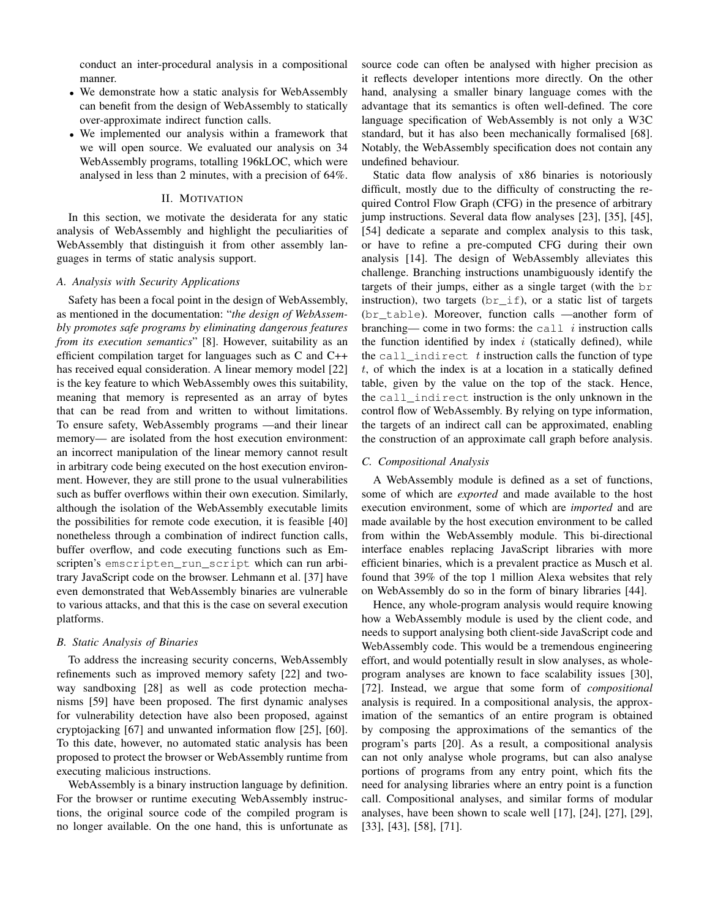conduct an inter-procedural analysis in a compositional manner.

- We demonstrate how a static analysis for WebAssembly can benefit from the design of WebAssembly to statically over-approximate indirect function calls.
- We implemented our analysis within a framework that we will open source. We evaluated our analysis on 34 WebAssembly programs, totalling 196kLOC, which were analysed in less than 2 minutes, with a precision of 64%.

# II. MOTIVATION

<span id="page-1-0"></span>In this section, we motivate the desiderata for any static analysis of WebAssembly and highlight the peculiarities of WebAssembly that distinguish it from other assembly languages in terms of static analysis support.

# *A. Analysis with Security Applications*

Safety has been a focal point in the design of WebAssembly, as mentioned in the documentation: "*the design of WebAssembly promotes safe programs by eliminating dangerous features from its execution semantics*" [\[8\]](#page-10-14). However, suitability as an efficient compilation target for languages such as C and C++ has received equal consideration. A linear memory model [\[22\]](#page-10-9) is the key feature to which WebAssembly owes this suitability, meaning that memory is represented as an array of bytes that can be read from and written to without limitations. To ensure safety, WebAssembly programs —and their linear memory— are isolated from the host execution environment: an incorrect manipulation of the linear memory cannot result in arbitrary code being executed on the host execution environment. However, they are still prone to the usual vulnerabilities such as buffer overflows within their own execution. Similarly, although the isolation of the WebAssembly executable limits the possibilities for remote code execution, it is feasible [\[40\]](#page-11-9) nonetheless through a combination of indirect function calls, buffer overflow, and code executing functions such as Emscripten's emscripten\_run\_script which can run arbitrary JavaScript code on the browser. Lehmann et al. [\[37\]](#page-10-8) have even demonstrated that WebAssembly binaries are vulnerable to various attacks, and that this is the case on several execution platforms.

# *B. Static Analysis of Binaries*

To address the increasing security concerns, WebAssembly refinements such as improved memory safety [\[22\]](#page-10-9) and twoway sandboxing [\[28\]](#page-10-10) as well as code protection mechanisms [\[59\]](#page-11-4) have been proposed. The first dynamic analyses for vulnerability detection have also been proposed, against cryptojacking [\[67\]](#page-11-5) and unwanted information flow [\[25\]](#page-10-12), [\[60\]](#page-11-6). To this date, however, no automated static analysis has been proposed to protect the browser or WebAssembly runtime from executing malicious instructions.

WebAssembly is a binary instruction language by definition. For the browser or runtime executing WebAssembly instructions, the original source code of the compiled program is no longer available. On the one hand, this is unfortunate as source code can often be analysed with higher precision as it reflects developer intentions more directly. On the other hand, analysing a smaller binary language comes with the advantage that its semantics is often well-defined. The core language specification of WebAssembly is not only a W3C standard, but it has also been mechanically formalised [\[68\]](#page-11-10). Notably, the WebAssembly specification does not contain any undefined behaviour.

Static data flow analysis of x86 binaries is notoriously difficult, mostly due to the difficulty of constructing the required Control Flow Graph (CFG) in the presence of arbitrary jump instructions. Several data flow analyses [\[23\]](#page-10-15), [\[35\]](#page-10-16), [\[45\]](#page-11-11), [\[54\]](#page-11-8) dedicate a separate and complex analysis to this task, or have to refine a pre-computed CFG during their own analysis [\[14\]](#page-10-17). The design of WebAssembly alleviates this challenge. Branching instructions unambiguously identify the targets of their jumps, either as a single target (with the br instruction), two targets  $(br_i$  if), or a static list of targets (br\_table). Moreover, function calls —another form of branching— come in two forms: the call  $i$  instruction calls the function identified by index  $i$  (statically defined), while the call\_indirect  $t$  instruction calls the function of type  $t$ , of which the index is at a location in a statically defined table, given by the value on the top of the stack. Hence, the call\_indirect instruction is the only unknown in the control flow of WebAssembly. By relying on type information, the targets of an indirect call can be approximated, enabling the construction of an approximate call graph before analysis.

# *C. Compositional Analysis*

A WebAssembly module is defined as a set of functions, some of which are *exported* and made available to the host execution environment, some of which are *imported* and are made available by the host execution environment to be called from within the WebAssembly module. This bi-directional interface enables replacing JavaScript libraries with more efficient binaries, which is a prevalent practice as Musch et al. found that 39% of the top 1 million Alexa websites that rely on WebAssembly do so in the form of binary libraries [\[44\]](#page-11-3).

Hence, any whole-program analysis would require knowing how a WebAssembly module is used by the client code, and needs to support analysing both client-side JavaScript code and WebAssembly code. This would be a tremendous engineering effort, and would potentially result in slow analyses, as wholeprogram analyses are known to face scalability issues [\[30\]](#page-10-18), [\[72\]](#page-11-12). Instead, we argue that some form of *compositional* analysis is required. In a compositional analysis, the approximation of the semantics of an entire program is obtained by composing the approximations of the semantics of the program's parts [\[20\]](#page-10-13). As a result, a compositional analysis can not only analyse whole programs, but can also analyse portions of programs from any entry point, which fits the need for analysing libraries where an entry point is a function call. Compositional analyses, and similar forms of modular analyses, have been shown to scale well [\[17\]](#page-10-19), [\[24\]](#page-10-20), [\[27\]](#page-10-21), [\[29\]](#page-10-22), [\[33\]](#page-10-23), [\[43\]](#page-11-13), [\[58\]](#page-11-14), [\[71\]](#page-11-15).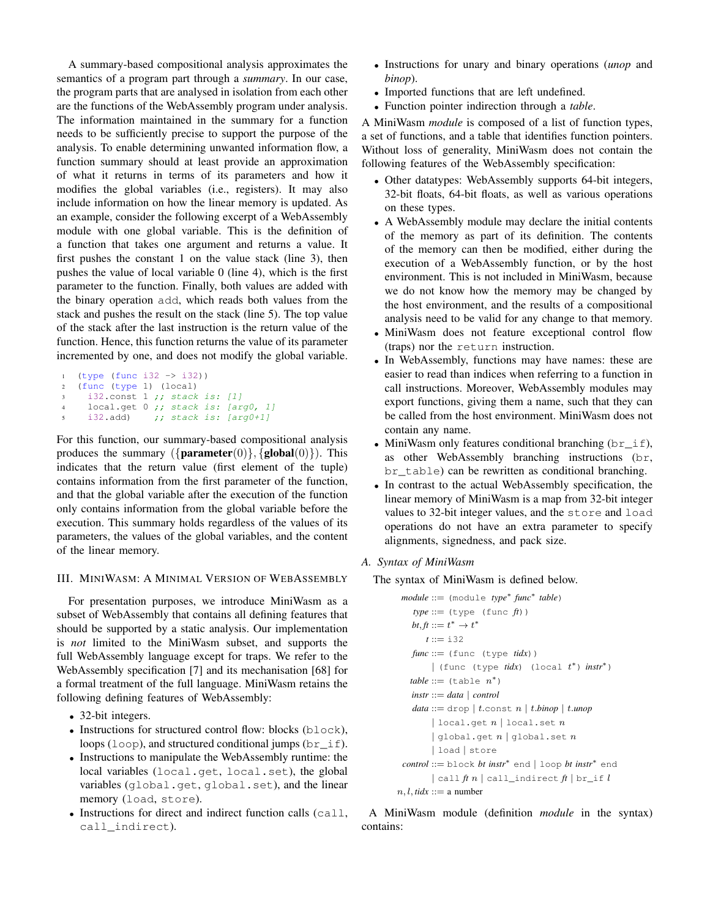A summary-based compositional analysis approximates the semantics of a program part through a *summary*. In our case, the program parts that are analysed in isolation from each other are the functions of the WebAssembly program under analysis. The information maintained in the summary for a function needs to be sufficiently precise to support the purpose of the analysis. To enable determining unwanted information flow, a function summary should at least provide an approximation of what it returns in terms of its parameters and how it modifies the global variables (i.e., registers). It may also include information on how the linear memory is updated. As an example, consider the following excerpt of a WebAssembly module with one global variable. This is the definition of a function that takes one argument and returns a value. It first pushes the constant 1 on the value stack (line [3\)](#page-2-0), then pushes the value of local variable 0 (line [4\)](#page-2-1), which is the first parameter to the function. Finally, both values are added with the binary operation add, which reads both values from the stack and pushes the result on the stack (line [5\)](#page-2-2). The top value of the stack after the last instruction is the return value of the function. Hence, this function returns the value of its parameter incremented by one, and does not modify the global variable.

```
1 (type (func i32 -> i32))
2 (func (type 1) (local)
3 i32.const 1 ;; stack is: [1]
    local.get 0 ;; stack is: [arg0, 1]
5 i32.add) ;; stack is: [arg0+1]
```
<span id="page-2-2"></span>For this function, our summary-based compositional analysis produces the summary  $({\{parameter(0)\}, \{global(0)\}})$ . This indicates that the return value (first element of the tuple) contains information from the first parameter of the function, and that the global variable after the execution of the function only contains information from the global variable before the execution. This summary holds regardless of the values of its parameters, the values of the global variables, and the content of the linear memory.

# III. MINIWASM: A MINIMAL VERSION OF WEBASSEMBLY

For presentation purposes, we introduce MiniWasm as a subset of WebAssembly that contains all defining features that should be supported by a static analysis. Our implementation is *not* limited to the MiniWasm subset, and supports the full WebAssembly language except for traps. We refer to the WebAssembly specification [\[7\]](#page-10-2) and its mechanisation [\[68\]](#page-11-10) for a formal treatment of the full language. MiniWasm retains the following defining features of WebAssembly:

- 32-bit integers.
- Instructions for structured control flow: blocks (block), loops (loop), and structured conditional jumps ( $br\_if$ ).
- Instructions to manipulate the WebAssembly runtime: the local variables (local.get, local.set), the global variables (global.get, global.set), and the linear memory (load, store).
- Instructions for direct and indirect function calls (call, call\_indirect).
- Instructions for unary and binary operations (*unop* and *binop*).
- Imported functions that are left undefined.
- Function pointer indirection through a *table*.

A MiniWasm *module* is composed of a list of function types, a set of functions, and a table that identifies function pointers. Without loss of generality, MiniWasm does not contain the following features of the WebAssembly specification:

- Other datatypes: WebAssembly supports 64-bit integers, 32-bit floats, 64-bit floats, as well as various operations on these types.
- A WebAssembly module may declare the initial contents of the memory as part of its definition. The contents of the memory can then be modified, either during the execution of a WebAssembly function, or by the host environment. This is not included in MiniWasm, because we do not know how the memory may be changed by the host environment, and the results of a compositional analysis need to be valid for any change to that memory.
- MiniWasm does not feature exceptional control flow (traps) nor the return instruction.
- In WebAssembly, functions may have names: these are easier to read than indices when referring to a function in call instructions. Moreover, WebAssembly modules may export functions, giving them a name, such that they can be called from the host environment. MiniWasm does not contain any name.
- MiniWasm only features conditional branching  $(br_i \text{ if}),$ as other WebAssembly branching instructions (br, br\_table) can be rewritten as conditional branching.
- In contrast to the actual WebAssembly specification, the linear memory of MiniWasm is a map from 32-bit integer values to 32-bit integer values, and the store and load operations do not have an extra parameter to specify alignments, signedness, and pack size.

# *A. Syntax of MiniWasm*

The syntax of MiniWasm is defined below.

```
module ::= (module type∗
func∗
table)
   type ::= (type (func ft))
   bt, ft ::= t^* \rightarrow t^*t ::= i32
   func ::= (func (type tidx))
        | (func (type tidx) (local t
∗) instr∗)
   table ::= (table n<sup>*</sup>)instr ::= data | control
   data ::= drop | t.const n | t.binop | t.unop| local.get n | local.set n
        | global.get n | global.set n| load | store
 control ::= block bt instr∗ end | loop bt instr∗ end
        | call ft n | call_indirect ft | br_if l
n, l, tidx ::= a number
```
A MiniWasm module (definition *module* in the syntax) contains: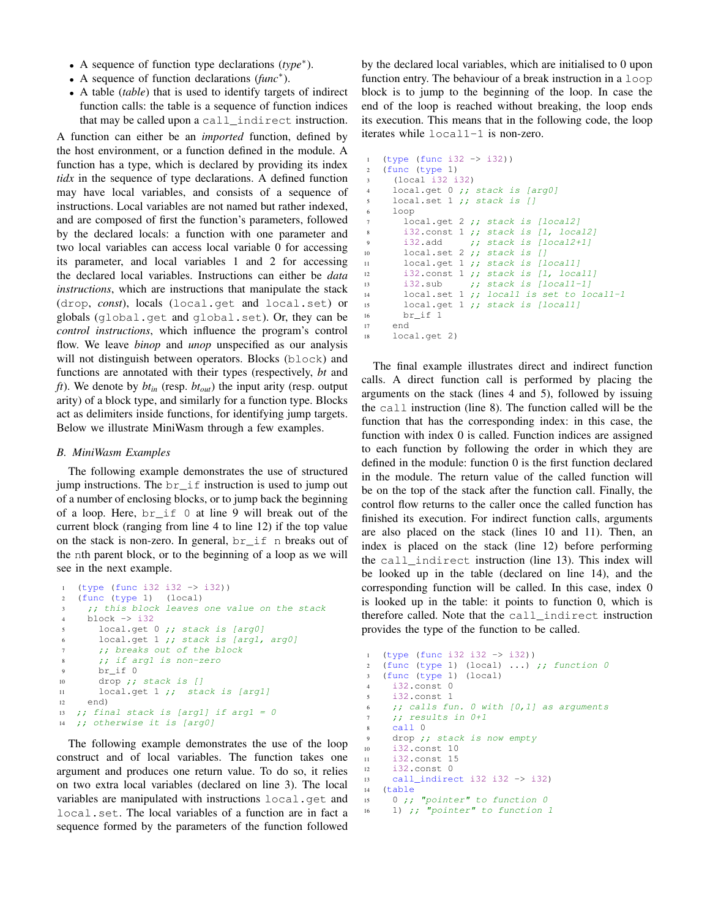- A sequence of function type declarations (*type*<sup>∗</sup> ).
- A sequence of function declarations (*func*<sup>∗</sup> ).
- A table (*table*) that is used to identify targets of indirect function calls: the table is a sequence of function indices that may be called upon a call\_indirect instruction.

A function can either be an *imported* function, defined by the host environment, or a function defined in the module. A function has a type, which is declared by providing its index *tidx* in the sequence of type declarations. A defined function may have local variables, and consists of a sequence of instructions. Local variables are not named but rather indexed, and are composed of first the function's parameters, followed by the declared locals: a function with one parameter and two local variables can access local variable 0 for accessing its parameter, and local variables 1 and 2 for accessing the declared local variables. Instructions can either be *data instructions*, which are instructions that manipulate the stack (drop, *const*), locals (local.get and local.set) or globals (global.get and global.set). Or, they can be *control instructions*, which influence the program's control flow. We leave *binop* and *unop* unspecified as our analysis will not distinguish between operators. Blocks (block) and functions are annotated with their types (respectively, *bt* and *ft*). We denote by *btin* (resp. *btout*) the input arity (resp. output arity) of a block type, and similarly for a function type. Blocks act as delimiters inside functions, for identifying jump targets. Below we illustrate MiniWasm through a few examples.

# *B. MiniWasm Examples*

The following example demonstrates the use of structured jump instructions. The  $br\_if$  instruction is used to jump out of a number of enclosing blocks, or to jump back the beginning of a loop. Here, br\_if 0 at line [9](#page-3-0) will break out of the current block (ranging from line [4](#page-3-1) to line [12\)](#page-3-2) if the top value on the stack is non-zero. In general, br\_if n breaks out of the nth parent block, or to the beginning of a loop as we will see in the next example.

```
1 (type (func i32 i32 -> i32))
2 (func (type 1) (local)
3 ;; this block leaves one value on the stack
4 block -> i32
5 local.get 0 ;; stack is [arg0]
6 local.get 1 ;; stack is [arg1, arg0]
7 ;; breaks out of the block
8 ;; if argl is non-zero
9 br_if 0
10 drop ;; stack is []
11 local.get 1 ;; stack is [arg1]
12 end)
13 ;; final stack is [arg1] if arg1 = 0
14 ;; otherwise it is [arg0]
```
<span id="page-3-2"></span><span id="page-3-0"></span>The following example demonstrates the use of the loop construct and of local variables. The function takes one argument and produces one return value. To do so, it relies on two extra local variables (declared on line [3\)](#page-3-3). The local variables are manipulated with instructions local.get and local.set. The local variables of a function are in fact a sequence formed by the parameters of the function followed

by the declared local variables, which are initialised to 0 upon function entry. The behaviour of a break instruction in a loop block is to jump to the beginning of the loop. In case the end of the loop is reached without breaking, the loop ends its execution. This means that in the following code, the loop iterates while local1-1 is non-zero.

```
1 (type (func i32 -> i32))
2 (func (type 1)
3 (local i32 i32)
4 local.get 0 ;; stack is [arg0]
    local.set 1 ;; stack is []
6 loop
7 local.get 2 ;; stack is [local2]
8 i32.const 1 ;; stack is [1, local2]
9 i32.add \qquad ;; stack is [local2+1]10 local.set 2 ;; stack is []
11 local.get 1 ;; stack is [local1]
12 i32.const 1 ;; stack is [1, local1]
13 i32.sub ;; stack is [local1-1]
14 local.set 1 ;; locall is set to local1-1
15 local.get 1 ;; stack is [local1]
16 br_if 1
17 end
18 local.get 2)
```
The final example illustrates direct and indirect function calls. A direct function call is performed by placing the arguments on the stack (lines [4](#page-3-4) and [5\)](#page-3-5), followed by issuing the call instruction (line [8\)](#page-3-6). The function called will be the function that has the corresponding index: in this case, the function with index 0 is called. Function indices are assigned to each function by following the order in which they are defined in the module: function 0 is the first function declared in the module. The return value of the called function will be on the top of the stack after the function call. Finally, the control flow returns to the caller once the called function has finished its execution. For indirect function calls, arguments are also placed on the stack (lines [10](#page-3-7) and [11\)](#page-3-8). Then, an index is placed on the stack (line [12\)](#page-3-9) before performing the call\_indirect instruction (line [13\)](#page-3-10). This index will be looked up in the table (declared on line [14\)](#page-3-11), and the corresponding function will be called. In this case, index 0 is looked up in the table: it points to function 0, which is therefore called. Note that the call\_indirect instruction provides the type of the function to be called.

```
1 (type (func i32 i32 -> i32))
2 (func (type 1) (local) ...) ;; function 03 (func (type 1) (local)
4 i32.const 0
5 i32.const 1
\frac{1}{1} ; calls fun. 0 with [0,1] as arguments
7 ;; results in 0+1
8 call 0
9 drop ;; stack is now empty
10 i32.const 10
11 i32.const 15
12 i32.const 0
13 call_indirect i32 i32 -> i32)
14 (table
15 0 ;; "pointer" to function 0
16 1) ;; "pointer" to function 1
```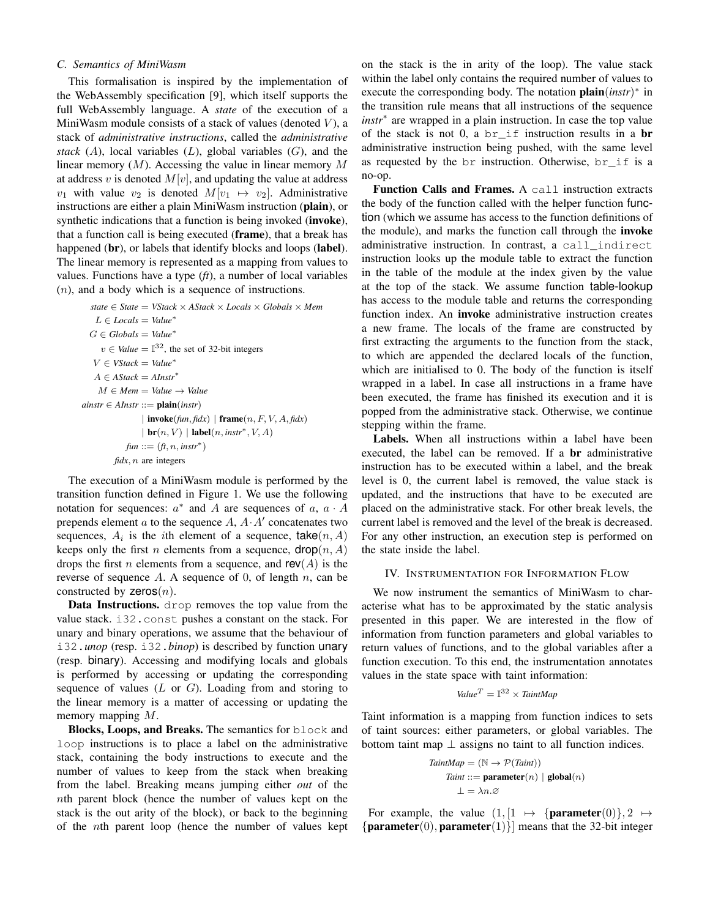# <span id="page-4-0"></span>*C. Semantics of MiniWasm*

This formalisation is inspired by the implementation of the WebAssembly specification [\[9\]](#page-10-24), which itself supports the full WebAssembly language. A *state* of the execution of a MiniWasm module consists of a stack of values (denoted  $V$ ), a stack of *administrative instructions*, called the *administrative stack*  $(A)$ , local variables  $(L)$ , global variables  $(G)$ , and the linear memory  $(M)$ . Accessing the value in linear memory M at address v is denoted  $M[v]$ , and updating the value at address  $v_1$  with value  $v_2$  is denoted  $M[v_1 \mapsto v_2]$ . Administrative instructions are either a plain MiniWasm instruction (plain), or synthetic indications that a function is being invoked (**invoke**), that a function call is being executed (frame), that a break has happened (br), or labels that identify blocks and loops (label). The linear memory is represented as a mapping from values to values. Functions have a type (*ft*), a number of local variables (n), and a body which is a sequence of instructions.

*state* ∈ *State* = *VStack* × *AStack* × *Locals* × *Globals* × *Mem* L ∈ *Locals* = *Value*<sup>∗</sup>  $G \in Globals = Value^*$  $v \in$  *Value* =  $\mathbb{I}^{32}$ , the set of 32-bit integers V ∈ *VStack* = *Value*<sup>∗</sup>  $A \in \text{AStack} = \text{AInstr}^*$  $M \in Mem = Value \rightarrow Value$  $a\text{instr} \in \text{AInstr} ::= \text{plain}(\text{instr})$  $|$  invoke( $fun, fidx)$ ) frame( $n, F, V, A, fidx$ )  $|\operatorname{br}(n, V)| \operatorname{label}(n, instr^*, V, A)$  $fun ::= (ft, n, instr^*)$ *fidx*, n are integers

The execution of a MiniWasm module is performed by the transition function defined in Figure [1.](#page-5-0) We use the following notation for sequences:  $a^*$  and A are sequences of  $a, a \cdot A$ prepends element  $a$  to the sequence  $A$ ,  $A \cdot A'$  concatenates two sequences,  $A_i$  is the *i*th element of a sequence, take  $(n, A)$ keeps only the first *n* elements from a sequence,  $\text{drop}(n, A)$ drops the first *n* elements from a sequence, and  $rev(A)$  is the reverse of sequence A. A sequence of 0, of length n, can be constructed by  $zeros(n)$ .

Data Instructions. drop removes the top value from the value stack. i32.const pushes a constant on the stack. For unary and binary operations, we assume that the behaviour of i32.*unop* (resp. i32.*binop*) is described by function unary (resp. binary). Accessing and modifying locals and globals is performed by accessing or updating the corresponding sequence of values  $(L \text{ or } G)$ . Loading from and storing to the linear memory is a matter of accessing or updating the memory mapping M.

Blocks, Loops, and Breaks. The semantics for block and loop instructions is to place a label on the administrative stack, containing the body instructions to execute and the number of values to keep from the stack when breaking from the label. Breaking means jumping either *out* of the nth parent block (hence the number of values kept on the stack is the out arity of the block), or back to the beginning of the nth parent loop (hence the number of values kept

on the stack is the in arity of the loop). The value stack within the label only contains the required number of values to execute the corresponding body. The notation **plain**(*instr*)<sup>∗</sup> in the transition rule means that all instructions of the sequence *instr*<sup>∗</sup> are wrapped in a plain instruction. In case the top value of the stack is not 0, a  $br\_if$  instruction results in a br administrative instruction being pushed, with the same level as requested by the br instruction. Otherwise, br\_if is a no-op.

Function Calls and Frames. A call instruction extracts the body of the function called with the helper function function (which we assume has access to the function definitions of the module), and marks the function call through the invoke administrative instruction. In contrast, a call\_indirect instruction looks up the module table to extract the function in the table of the module at the index given by the value at the top of the stack. We assume function table-lookup has access to the module table and returns the corresponding function index. An **invoke** administrative instruction creates a new frame. The locals of the frame are constructed by first extracting the arguments to the function from the stack, to which are appended the declared locals of the function, which are initialised to 0. The body of the function is itself wrapped in a label. In case all instructions in a frame have been executed, the frame has finished its execution and it is popped from the administrative stack. Otherwise, we continue stepping within the frame.

Labels. When all instructions within a label have been executed, the label can be removed. If a br administrative instruction has to be executed within a label, and the break level is 0, the current label is removed, the value stack is updated, and the instructions that have to be executed are placed on the administrative stack. For other break levels, the current label is removed and the level of the break is decreased. For any other instruction, an execution step is performed on the state inside the label.

## <span id="page-4-1"></span>IV. INSTRUMENTATION FOR INFORMATION FLOW

We now instrument the semantics of MiniWasm to characterise what has to be approximated by the static analysis presented in this paper. We are interested in the flow of information from function parameters and global variables to return values of functions, and to the global variables after a function execution. To this end, the instrumentation annotates values in the state space with taint information:

$$
Value^T = \mathbb{I}^{32} \times TaintMap
$$

Taint information is a mapping from function indices to sets of taint sources: either parameters, or global variables. The bottom taint map  $\perp$  assigns no taint to all function indices.

TaintMap = 
$$
(\mathbb{N} \to \mathcal{P}(Taint))
$$
  
Taint ::= **parameter** $(n) |$ **global** $(n)$   
 $\bot = \lambda n.\varnothing$ 

For example, the value  $(1, \begin{bmatrix} 1 & \mapsto \end{bmatrix}$  **parameter** $(0), 2 \mapsto$ { $\mathbf{parameter}(0), \mathbf{parameter}(1)$ } means that the 32-bit integer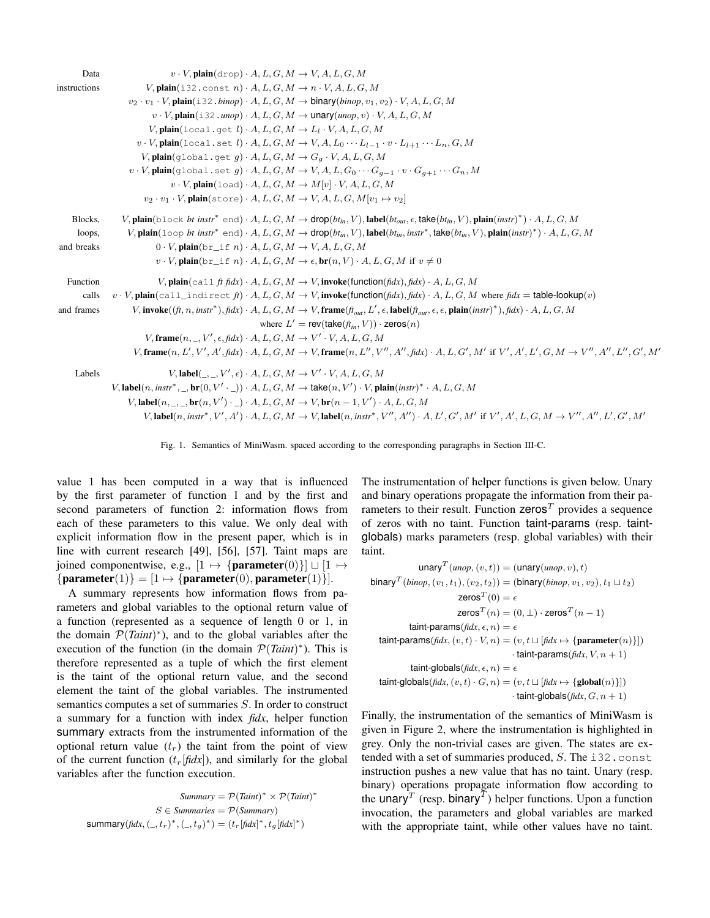| Data         | $v \cdot V$ , plain $(\text{drop}) \cdot A, L, G, M \rightarrow V, A, L, G, M$                                                                                                                                                 |  |
|--------------|--------------------------------------------------------------------------------------------------------------------------------------------------------------------------------------------------------------------------------|--|
| instructions | $V$ , plain(i32.const n) $\cdot$ A, $L$ , $G$ , $M \to n \cdot V$ , $A$ , $L$ , $G$ , $M$                                                                                                                                      |  |
|              | $v_2 \cdot v_1 \cdot V$ , plain $(i.32 \cdot binop) \cdot A, L, G, M \rightarrow binary(binop, v_1, v_2) \cdot V, A, L, G, M$                                                                                                  |  |
|              | $v \cdot V$ , plain(i32, unop) $\cdot A$ , $L$ , $G$ , $M \rightarrow$ unary(unop, $v$ ) $\cdot V$ , $A$ , $L$ , $G$ , $M$                                                                                                     |  |
|              | V, plain(local.get $l$ ) $\cdot$ A, L, G, M $\rightarrow$ L <sub>1</sub> $\cdot$ V, A, L, G, M                                                                                                                                 |  |
|              | $v \cdot V$ , plain $(\text{local.set } l) \cdot A, L, G, M \rightarrow V, A, L_0 \cdots L_{l-1} \cdot v \cdot L_{l+1} \cdots L_n, G, M$                                                                                       |  |
|              | $V$ , plain(qlobal.get g) $\cdot A$ , $L$ , $G$ , $M \rightarrow Gq \cdot V$ , $A$ , $L$ , $G$ , $M$                                                                                                                           |  |
|              | $v \cdot V$ , plain(global.set g) $A, L, G, M \rightarrow V, A, L, G_0 \cdots G_{q-1} \cdot v \cdot G_{q+1} \cdots G_n, M$                                                                                                     |  |
|              | $v \cdot V$ , plain(load) $\cdot A$ , $L$ , $G$ , $M \to M[v] \cdot V$ , $A$ , $L$ , $G$ , $M$                                                                                                                                 |  |
|              | $v_2 \cdot v_1 \cdot V$ , plain(store) $\cdot A, L, G, M \rightarrow V, A, L, G, M[v_1 \mapsto v_2]$                                                                                                                           |  |
| Blocks.      | V, plain(block bt instr <sup>*</sup> end) $\cdot A, L, G, M \to \text{drop}(bt_{in}, V)$ , label(bt <sub>out,</sub> $\epsilon$ , take(bt <sub>in</sub> , V), plain(instr) <sup>*</sup> ) $\cdot A, L, G, M$                    |  |
| loops,       | V, plain(loop bt instr <sup>*</sup> end) $\cdot$ A, L, G, M $\rightarrow$ drop(bt <sub>in</sub> , V), label(bt <sub>in</sub> , instr <sup>*</sup> , take(bt <sub>in</sub> , V), plain(instr) <sup>*</sup> ) $\cdot$ A, L, G, M |  |
| and breaks   | $0 \cdot V$ , plain $(\text{br}\_\text{i} f n) \cdot A, L, G, M \rightarrow V, A, L, G, M$                                                                                                                                     |  |
|              | $v \cdot V$ , plain(br if n) $A, L, G, M \to \epsilon$ , br(n, V) $A, L, G, M$ if $v \neq 0$                                                                                                                                   |  |
| Function     | V, plain(call ft fidx) $\cdot$ A, L, G, M $\rightarrow$ V, invoke(function(fidx), fidx) $\cdot$ A, L, G, M                                                                                                                     |  |
| calls        | $v \cdot V$ , plain(call_indirect ft) $\cdot A$ , $L$ , $G$ , $M \to V$ , invoke(function(fidx), fidx) $\cdot A$ , $L$ , $G$ , $M$ where fidx = table-lookup(v)                                                                |  |
| and frames   | V, invoke $((ft, n, instr^*), fidx) \cdot A, L, G, M \rightarrow V$ , frame $(t_{out}, L', \epsilon, \text{label}(t_{out}, \epsilon, \epsilon, \text{plain}(instr)^*), fidx) \cdot A, L, G, M$                                 |  |
|              | where $L' = \text{rev}(\text{take}(f_{t_m}, V)) \cdot \text{zeros}(n)$                                                                                                                                                         |  |
|              | $V,$ frame $(n, \_, V', \epsilon, \text{fid} x) \cdot A, L, G, M \rightarrow V' \cdot V, A, L, G, M$                                                                                                                           |  |
|              |                                                                                                                                                                                                                                |  |
| Labels       | $V,$ label $(\_,\_,V',\epsilon) \cdot A, L, G, M \rightarrow V' \cdot V, A, L, G, M$                                                                                                                                           |  |
|              | V, label(n, instr <sup>*</sup> , _, br(0, V' · _)) · A, L, G, M $\rightarrow$ take(n, V') · V, plain(instr) <sup>*</sup> · A, L, G, M                                                                                          |  |
|              | V, label $(n, \_,\_,\text{br}(n, V') \cdot \_) \cdot A, L, G, M \rightarrow V, \text{br}(n-1, V') \cdot A, L, G, M$                                                                                                            |  |
|              | $V,$ label(n, instr <sup>*</sup> , $V', A'$ ) $\cdot$ $\cdot$ $A, L, G, M \rightarrow V$ , label(n, instr <sup>*</sup> , $V'', A'') \cdot$ $\cdot$ $A, L', G', M'$ if $V', A', L, G, M \rightarrow V'', A'', L', G', M'$       |  |

<span id="page-5-0"></span>Fig. 1. Semantics of MiniWasm. spaced according to the corresponding paragraphs in Section [III-C.](#page-4-0)

value 1 has been computed in a way that is influenced by the first parameter of function 1 and by the first and second parameters of function 2: information flows from each of these parameters to this value. We only deal with explicit information flow in the present paper, which is in line with current research [\[49\]](#page-11-16), [\[56\]](#page-11-17), [\[57\]](#page-11-18). Taint maps are joined componentwise, e.g.,  $[1 \mapsto \{\text{parameter}(0)\}] \sqcup [1 \mapsto \emptyset]$  ${parenter(1)} = [1 \mapsto {parameter(0), parameter(1)}].$ 

A summary represents how information flows from parameters and global variables to the optional return value of a function (represented as a sequence of length 0 or 1, in the domain  $\mathcal{P}(Taint)^{*}$ ), and to the global variables after the execution of the function (in the domain  $\mathcal{P}(Taint)^*$ ). This is therefore represented as a tuple of which the first element is the taint of the optional return value, and the second element the taint of the global variables. The instrumented semantics computes a set of summaries S. In order to construct a summary for a function with index *fidx*, helper function summary extracts from the instrumented information of the optional return value  $(t_r)$  the taint from the point of view of the current function  $(t_r[\text{fd}x])$ , and similarly for the global variables after the function execution.

$$
Summary = \mathcal{P}(Taint)^* \times \mathcal{P}(Taint)^*
$$
\n
$$
S \in Summaries = \mathcal{P}(Summary)
$$
\n
$$
Summary(fidx, (l, t, r)^*, (l, t, g)^*) = (t_r[fidx]^*, t_g[fidx]^*)
$$

The instrumentation of helper functions is given below. Unary and binary operations propagate the information from their parameters to their result. Function  $zeros<sup>T</sup>$  provides a sequence of zeros with no taint. Function taint-params (resp. taintglobals) marks parameters (resp. global variables) with their taint.

$$
\text{unary}^T(\text{unop}, (v, t)) = (\text{unary}(\text{unop}, v), t)
$$
\n
$$
\text{binary}^T(\text{binop}, (v_1, t_1), (v_2, t_2)) = (\text{binary}(\text{binop}, v_1, v_2), t_1 \sqcup t_2)
$$
\n
$$
\text{zeros}^T(0) = \epsilon
$$
\n
$$
\text{zeros}^T(n) = (0, \perp) \cdot \text{zeros}^T(n - 1)
$$
\n
$$
\text{taint-params}(\text{flat}, \epsilon, n) = \epsilon
$$
\n
$$
\text{taint-params}(\text{flat}, (v, t) \cdot V, n) = (v, t \sqcup [\text{flat} \mapsto \{\text{parameter}(n)\}])
$$
\n
$$
\cdot \text{taint-params}(\text{flat}, V, n + 1)
$$
\n
$$
\text{taint-global}(\text{flat}, \epsilon, n) = \epsilon
$$
\n
$$
\text{taint-global}(\text{flat}, (v, t) \cdot G, n) = (v, t \sqcup [\text{flat} \mapsto \{\text{global}(n)\}])
$$
\n
$$
\cdot \text{taint-global}(\text{split}, G, n + 1)
$$

Finally, the instrumentation of the semantics of MiniWasm is given in Figure [2,](#page-7-0) where the instrumentation is highlighted in grey. Only the non-trivial cases are given. The states are extended with a set of summaries produced,  $S$ . The i32.const instruction pushes a new value that has no taint. Unary (resp. binary) operations propagate information flow according to the unary<sup>T</sup> (resp. binary<sup>T</sup>) helper functions. Upon a function invocation, the parameters and global variables are marked with the appropriate taint, while other values have no taint.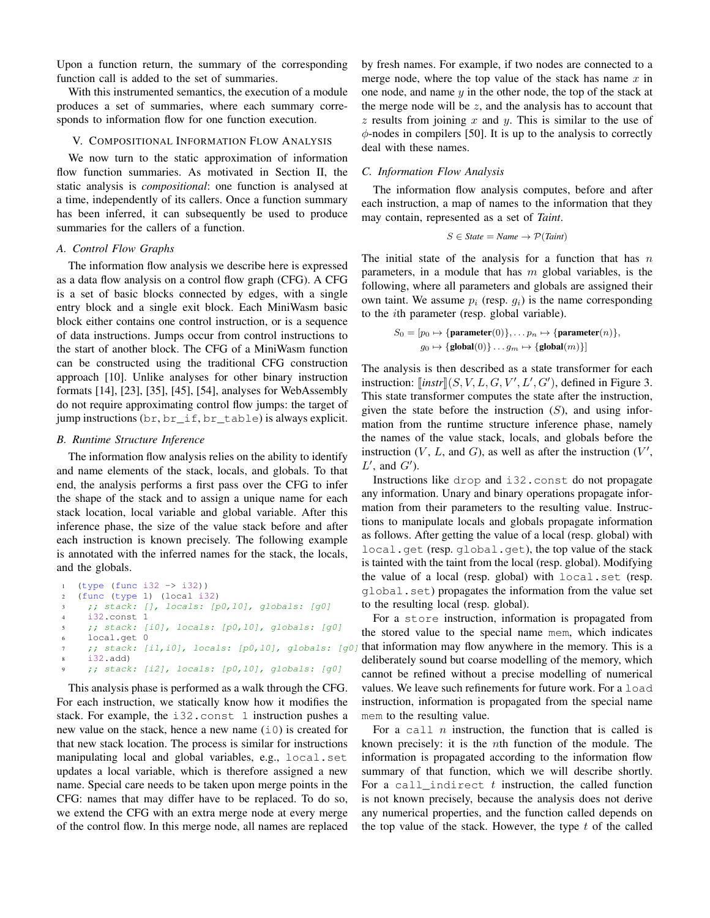Upon a function return, the summary of the corresponding function call is added to the set of summaries.

With this instrumented semantics, the execution of a module produces a set of summaries, where each summary corresponds to information flow for one function execution.

# V. COMPOSITIONAL INFORMATION FLOW ANALYSIS

We now turn to the static approximation of information flow function summaries. As motivated in Section [II,](#page-1-0) the static analysis is *compositional*: one function is analysed at a time, independently of its callers. Once a function summary has been inferred, it can subsequently be used to produce summaries for the callers of a function.

# *A. Control Flow Graphs*

The information flow analysis we describe here is expressed as a data flow analysis on a control flow graph (CFG). A CFG is a set of basic blocks connected by edges, with a single entry block and a single exit block. Each MiniWasm basic block either contains one control instruction, or is a sequence of data instructions. Jumps occur from control instructions to the start of another block. The CFG of a MiniWasm function can be constructed using the traditional CFG construction approach [\[10\]](#page-10-25). Unlike analyses for other binary instruction formats [\[14\]](#page-10-17), [\[23\]](#page-10-15), [\[35\]](#page-10-16), [\[45\]](#page-11-11), [\[54\]](#page-11-8), analyses for WebAssembly do not require approximating control flow jumps: the target of jump instructions (br, br\_if, br\_table) is always explicit.

#### *B. Runtime Structure Inference*

The information flow analysis relies on the ability to identify and name elements of the stack, locals, and globals. To that end, the analysis performs a first pass over the CFG to infer the shape of the stack and to assign a unique name for each stack location, local variable and global variable. After this inference phase, the size of the value stack before and after each instruction is known precisely. The following example is annotated with the inferred names for the stack, the locals, and the globals.

```
1 (type (func i32 -> i32))
2 (func (type 1) (local i32)
3 ;; stack: [], locals: [p0,l0], globals: [g0]
4 i32.const 1
5 ;; stack: [i0], locals: [p0,l0], globals: [g0]
6 local.get 0
7 ;; stack: [i1,i0], locals: [p0,10], globals: [g0]
8 i32.add)
    9 ;; stack: [i2], locals: [p0,l0], globals: [g0]
```
This analysis phase is performed as a walk through the CFG. For each instruction, we statically know how it modifies the stack. For example, the i32.const 1 instruction pushes a new value on the stack, hence a new name  $(i0)$  is created for that new stack location. The process is similar for instructions manipulating local and global variables, e.g., local.set updates a local variable, which is therefore assigned a new name. Special care needs to be taken upon merge points in the CFG: names that may differ have to be replaced. To do so, we extend the CFG with an extra merge node at every merge of the control flow. In this merge node, all names are replaced by fresh names. For example, if two nodes are connected to a merge node, where the top value of the stack has name  $x$  in one node, and name  $y$  in the other node, the top of the stack at the merge node will be  $z$ , and the analysis has to account that  $z$  results from joining  $x$  and  $y$ . This is similar to the use of  $\phi$ -nodes in compilers [\[50\]](#page-11-19). It is up to the analysis to correctly deal with these names.

# *C. Information Flow Analysis*

The information flow analysis computes, before and after each instruction, a map of names to the information that they may contain, represented as a set of *Taint*.

$$
S \in State = Name \rightarrow \mathcal{P}(Taint)
$$

The initial state of the analysis for a function that has  $n$ parameters, in a module that has  $m$  global variables, is the following, where all parameters and globals are assigned their own taint. We assume  $p_i$  (resp.  $q_i$ ) is the name corresponding to the ith parameter (resp. global variable).

$$
S_0 = [p_0 \mapsto \{\text{parameter}(0)\}, \dots p_n \mapsto \{\text{parameter}(n)\},
$$

$$
g_0 \mapsto \{\text{global}(0)\} \dots g_m \mapsto \{\text{global}(m)\}\}\
$$

The analysis is then described as a state transformer for each instruction:  $\left[$ *instr* $\left[$  $(S, V, L, G, V', L', G')$ , defined in Figure [3.](#page-7-1)<br>This state transformer computes the state ofter the instruction This state transformer computes the state after the instruction, given the state before the instruction  $(S)$ , and using information from the runtime structure inference phase, namely the names of the value stack, locals, and globals before the instruction  $(V, L, \text{ and } G)$ , as well as after the instruction  $(V',$  $L'$ , and  $G'$ ).

Instructions like drop and i32.const do not propagate any information. Unary and binary operations propagate information from their parameters to the resulting value. Instructions to manipulate locals and globals propagate information as follows. After getting the value of a local (resp. global) with local.get (resp. global.get), the top value of the stack is tainted with the taint from the local (resp. global). Modifying the value of a local (resp. global) with local.set (resp. global.set) propagates the information from the value set to the resulting local (resp. global).

For a store instruction, information is propagated from the stored value to the special name mem, which indicates that information may flow anywhere in the memory. This is a deliberately sound but coarse modelling of the memory, which cannot be refined without a precise modelling of numerical values. We leave such refinements for future work. For a load instruction, information is propagated from the special name mem to the resulting value.

For a call  $n$  instruction, the function that is called is known precisely: it is the nth function of the module. The information is propagated according to the information flow summary of that function, which we will describe shortly. For a call\_indirect  $t$  instruction, the called function is not known precisely, because the analysis does not derive any numerical properties, and the function called depends on the top value of the stack. However, the type  $t$  of the called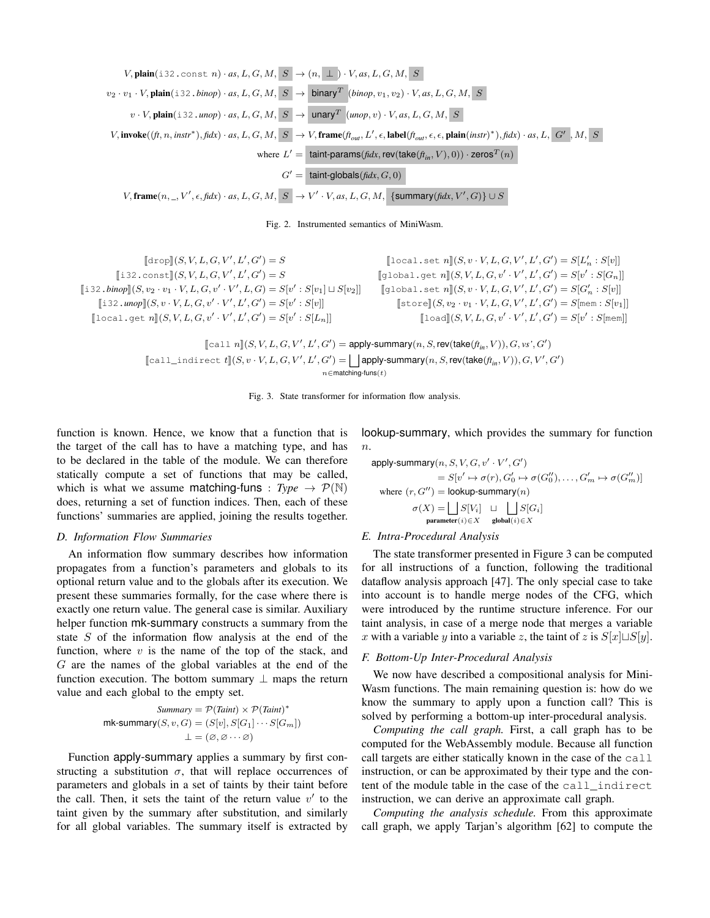

<span id="page-7-0"></span>Fig. 2. Instrumented semantics of MiniWasm.

 $[\![\text{drop}]\!](S, V, L, G, V', L', G') = S$  $[$ i32.const][S, V, L, G, V', L', G'] = S  $[i\,32 \cdot \text{binop}](S, v_2 \cdot v_1 \cdot V, L, G, v' \cdot V', L, G) = S[v' : S[v_1] \sqcup S[v_2]]$  $[i32 \cdot \text{unop}](S, v \cdot V, L, G, v' \cdot V', L', G') = S[v' : S[v]]$  $[\text{local.get } n](S, V, L, G, v' \cdot V', L', G') = S[v' : S[L_n]]$ 

 $[\text{local.set } n](S, v \cdot V, L, G, V', L', G') = S[L'_n : S[v]]$  $[\texttt{global.get } n](S, V, L, G, v' \cdot V', L', G') = S[v' : S[G_n]]$  $[\![\texttt{global.set}~n]\!](S, v \cdot V, L, G, V', L', G') = S[G'_n : S[v]\!]$  $[\text{store}](S, v_2 \cdot v_1 \cdot V, L, G, V', L', G') = S[\text{mem} : S[v_1]]$  $[\texttt{load}](S, V, L, G, v' \cdot V', L', G') = S[v' : S[\texttt{mem}]]$ 

 $[\text{call } n](S, V, L, G, V', L', G') = \text{apply-summary}(n, S, \text{rev}(\text{take}(f_{in}, V)), G, \text{vs}', G')$  $[\text{call\_indirect } t](S, v \cdot V, L, G, V', L', G') = \bigsqcup_{\text{apply-summary}(n, S, \text{rev}(\text{take}(f_{in}, V)), G, V', G')$  $n \in$ matching-funs $(t)$ 

<span id="page-7-1"></span>Fig. 3. State transformer for information flow analysis.

function is known. Hence, we know that a function that is the target of the call has to have a matching type, and has to be declared in the table of the module. We can therefore statically compute a set of functions that may be called, which is what we assume **matching-funs** :  $Type \rightarrow \mathcal{P}(\mathbb{N})$ does, returning a set of function indices. Then, each of these functions' summaries are applied, joining the results together.

#### *D. Information Flow Summaries*

An information flow summary describes how information propagates from a function's parameters and globals to its optional return value and to the globals after its execution. We present these summaries formally, for the case where there is exactly one return value. The general case is similar. Auxiliary helper function mk-summary constructs a summary from the state S of the information flow analysis at the end of the function, where  $v$  is the name of the top of the stack, and G are the names of the global variables at the end of the function execution. The bottom summary  $\perp$  maps the return value and each global to the empty set.

$$
Summary = \mathcal{P}(Taint) \times \mathcal{P}(Taint)^*
$$
  
m  
k-summary(S, v, G) = (S[v], S[G<sub>1</sub>] \cdots S[G<sub>m</sub>])  

$$
\bot = (\emptyset, \emptyset \cdots \emptyset)
$$

Function apply-summary applies a summary by first constructing a substitution  $\sigma$ , that will replace occurrences of parameters and globals in a set of taints by their taint before the call. Then, it sets the taint of the return value  $v'$  to the taint given by the summary after substitution, and similarly for all global variables. The summary itself is extracted by lookup-summary, which provides the summary for function  $n$ .

$$
\begin{aligned} \text{apply-summary}(n, S, V, G, v' \cdot V', G') \\ & = S[v' \mapsto \sigma(r), G_0' \mapsto \sigma(G_0''), \dots, G_m' \mapsto \sigma(G_m'')] \\ \text{where } (r, G'') & = \text{lookup-summary}(n) \\ \sigma(X) & = \bigsqcup_{\text{parameter}(i) \in X} S[V_i] \quad \sqcup \quad \bigcup_{\text{global}(i) \in X} S[G_i] \end{aligned}
$$

# *E. Intra-Procedural Analysis*

The state transformer presented in Figure [3](#page-7-1) can be computed for all instructions of a function, following the traditional dataflow analysis approach [\[47\]](#page-11-20). The only special case to take into account is to handle merge nodes of the CFG, which were introduced by the runtime structure inference. For our taint analysis, in case of a merge node that merges a variable x with a variable y into a variable z, the taint of z is  $S[x] \sqcup S[y]$ .

### *F. Bottom-Up Inter-Procedural Analysis*

We now have described a compositional analysis for Mini-Wasm functions. The main remaining question is: how do we know the summary to apply upon a function call? This is solved by performing a bottom-up inter-procedural analysis.

*Computing the call graph.* First, a call graph has to be computed for the WebAssembly module. Because all function call targets are either statically known in the case of the call instruction, or can be approximated by their type and the content of the module table in the case of the call\_indirect instruction, we can derive an approximate call graph.

*Computing the analysis schedule.* From this approximate call graph, we apply Tarjan's algorithm [\[62\]](#page-11-21) to compute the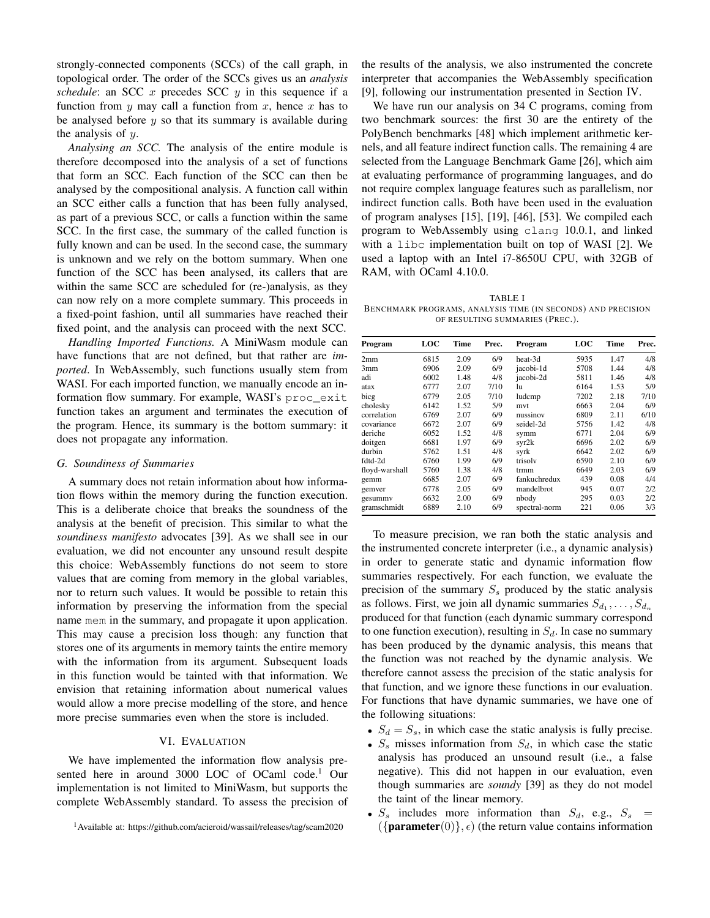strongly-connected components (SCCs) of the call graph, in topological order. The order of the SCCs gives us an *analysis schedule*: an SCC  $x$  precedes SCC  $y$  in this sequence if a function from  $y$  may call a function from  $x$ , hence  $x$  has to be analysed before  $y$  so that its summary is available during the analysis of  $y$ .

*Analysing an SCC.* The analysis of the entire module is therefore decomposed into the analysis of a set of functions that form an SCC. Each function of the SCC can then be analysed by the compositional analysis. A function call within an SCC either calls a function that has been fully analysed, as part of a previous SCC, or calls a function within the same SCC. In the first case, the summary of the called function is fully known and can be used. In the second case, the summary is unknown and we rely on the bottom summary. When one function of the SCC has been analysed, its callers that are within the same SCC are scheduled for (re-)analysis, as they can now rely on a more complete summary. This proceeds in a fixed-point fashion, until all summaries have reached their fixed point, and the analysis can proceed with the next SCC.

*Handling Imported Functions.* A MiniWasm module can have functions that are not defined, but that rather are *imported*. In WebAssembly, such functions usually stem from WASI. For each imported function, we manually encode an information flow summary. For example, WASI's proc\_exit function takes an argument and terminates the execution of the program. Hence, its summary is the bottom summary: it does not propagate any information.

# *G. Soundiness of Summaries*

A summary does not retain information about how information flows within the memory during the function execution. This is a deliberate choice that breaks the soundness of the analysis at the benefit of precision. This similar to what the *soundiness manifesto* advocates [\[39\]](#page-10-26). As we shall see in our evaluation, we did not encounter any unsound result despite this choice: WebAssembly functions do not seem to store values that are coming from memory in the global variables, nor to return such values. It would be possible to retain this information by preserving the information from the special name mem in the summary, and propagate it upon application. This may cause a precision loss though: any function that stores one of its arguments in memory taints the entire memory with the information from its argument. Subsequent loads in this function would be tainted with that information. We envision that retaining information about numerical values would allow a more precise modelling of the store, and hence more precise summaries even when the store is included.

# VI. EVALUATION

We have implemented the information flow analysis presented here in around 3000 LOC of OCaml code.<sup>1</sup> Our implementation is not limited to MiniWasm, but supports the complete WebAssembly standard. To assess the precision of

<sup>1</sup>Available at:<https://github.com/acieroid/wassail/releases/tag/scam2020>

the results of the analysis, we also instrumented the concrete interpreter that accompanies the WebAssembly specification [\[9\]](#page-10-24), following our instrumentation presented in Section [IV.](#page-4-1)

We have run our analysis on 34 C programs, coming from two benchmark sources: the first 30 are the entirety of the PolyBench benchmarks [\[48\]](#page-11-22) which implement arithmetic kernels, and all feature indirect function calls. The remaining 4 are selected from the Language Benchmark Game [\[26\]](#page-10-27), which aim at evaluating performance of programming languages, and do not require complex language features such as parallelism, nor indirect function calls. Both have been used in the evaluation of program analyses [\[15\]](#page-10-28), [\[19\]](#page-10-29), [\[46\]](#page-11-23), [\[53\]](#page-11-24). We compiled each program to WebAssembly using clang 10.0.1, and linked with a libc implementation built on top of WASI [\[2\]](#page-10-30). We used a laptop with an Intel i7-8650U CPU, with 32GB of RAM, with OCaml 4.10.0.

<span id="page-8-0"></span>TABLE I BENCHMARK PROGRAMS, ANALYSIS TIME (IN SECONDS) AND PRECISION OF RESULTING SUMMARIES (PREC.).

| Program        | LOC  | Time | Prec. | Program       | <b>LOC</b> | Time | Prec. |
|----------------|------|------|-------|---------------|------------|------|-------|
| 2mm            | 6815 | 2.09 | 6/9   | heat-3d       | 5935       | 1.47 | 4/8   |
| 3mm            | 6906 | 2.09 | 6/9   | iacobi-1d     | 5708       | 1.44 | 4/8   |
| adi            | 6002 | 1.48 | 4/8   | iacobi-2d     | 5811       | 1.46 | 4/8   |
| atax           | 6777 | 2.07 | 7/10  | lu            | 6164       | 1.53 | 5/9   |
| bicg           | 6779 | 2.05 | 7/10  | ludcmp        | 7202       | 2.18 | 7/10  |
| cholesky       | 6142 | 1.52 | 5/9   | mvt           | 6663       | 2.04 | 6/9   |
| correlation    | 6769 | 2.07 | 6/9   | nussinov      | 6809       | 2.11 | 6/10  |
| covariance     | 6672 | 2.07 | 6/9   | seidel-2d     | 5756       | 1.42 | 4/8   |
| deriche        | 6052 | 1.52 | 4/8   | symm          | 6771       | 2.04 | 6/9   |
| doitgen        | 6681 | 1.97 | 6/9   | syr2k         | 6696       | 2.02 | 6/9   |
| durbin         | 5762 | 1.51 | 4/8   | syrk          | 6642       | 2.02 | 6/9   |
| fdtd-2d        | 6760 | 1.99 | 6/9   | trisolv       | 6590       | 2.10 | 6/9   |
| floyd-warshall | 5760 | 1.38 | 4/8   | trmm          | 6649       | 2.03 | 6/9   |
| gemm           | 6685 | 2.07 | 6/9   | fankuchredux  | 439        | 0.08 | 4/4   |
| gemver         | 6778 | 2.05 | 6/9   | mandelbrot    | 945        | 0.07 | 2/2   |
| gesummy        | 6632 | 2.00 | 6/9   | nbody         | 295        | 0.03 | 2/2   |
| gramschmidt    | 6889 | 2.10 | 6/9   | spectral-norm | 221        | 0.06 | 3/3   |

To measure precision, we ran both the static analysis and the instrumented concrete interpreter (i.e., a dynamic analysis) in order to generate static and dynamic information flow summaries respectively. For each function, we evaluate the precision of the summary  $S_s$  produced by the static analysis as follows. First, we join all dynamic summaries  $S_{d_1}, \ldots, S_{d_n}$ produced for that function (each dynamic summary correspond to one function execution), resulting in  $S_d$ . In case no summary has been produced by the dynamic analysis, this means that the function was not reached by the dynamic analysis. We therefore cannot assess the precision of the static analysis for that function, and we ignore these functions in our evaluation. For functions that have dynamic summaries, we have one of the following situations:

- $S_d = S_s$ , in which case the static analysis is fully precise.
- $S_s$  misses information from  $S_d$ , in which case the static analysis has produced an unsound result (i.e., a false negative). This did not happen in our evaluation, even though summaries are *soundy* [\[39\]](#page-10-26) as they do not model the taint of the linear memory.
- $S_s$  includes more information than  $S_d$ , e.g.,  $S_s$  =  $({\{parameter(0)\}, \epsilon})$  (the return value contains information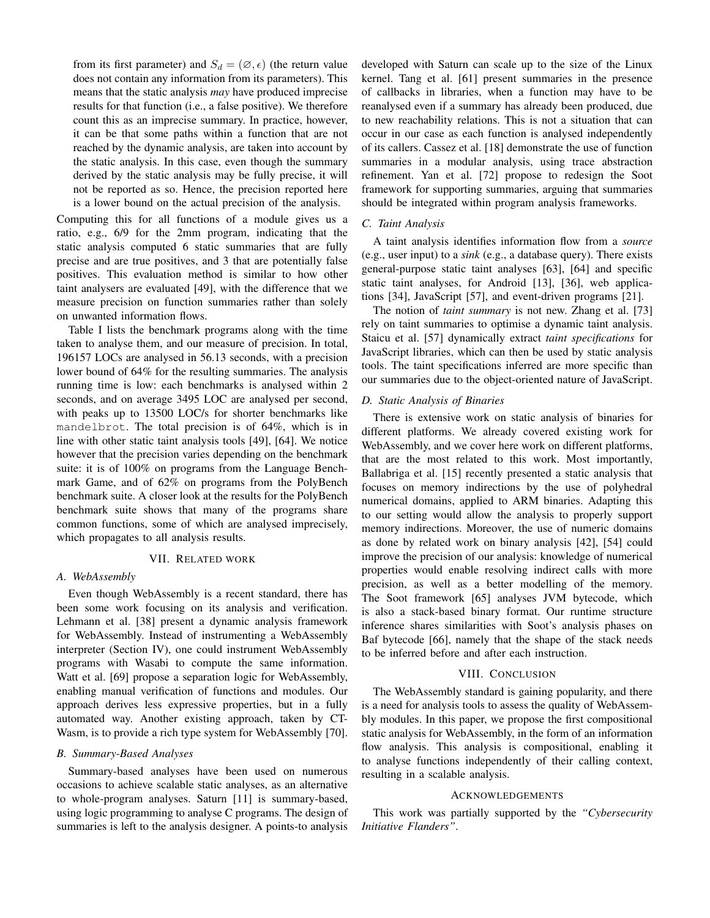from its first parameter) and  $S_d = (\emptyset, \epsilon)$  (the return value does not contain any information from its parameters). This means that the static analysis *may* have produced imprecise results for that function (i.e., a false positive). We therefore count this as an imprecise summary. In practice, however, it can be that some paths within a function that are not reached by the dynamic analysis, are taken into account by the static analysis. In this case, even though the summary derived by the static analysis may be fully precise, it will not be reported as so. Hence, the precision reported here is a lower bound on the actual precision of the analysis.

Computing this for all functions of a module gives us a ratio, e.g., 6/9 for the 2mm program, indicating that the static analysis computed 6 static summaries that are fully precise and are true positives, and 3 that are potentially false positives. This evaluation method is similar to how other taint analysers are evaluated [\[49\]](#page-11-16), with the difference that we measure precision on function summaries rather than solely on unwanted information flows.

Table [I](#page-8-0) lists the benchmark programs along with the time taken to analyse them, and our measure of precision. In total, 196157 LOCs are analysed in 56.13 seconds, with a precision lower bound of 64% for the resulting summaries. The analysis running time is low: each benchmarks is analysed within 2 seconds, and on average 3495 LOC are analysed per second, with peaks up to 13500 LOC/s for shorter benchmarks like mandelbrot. The total precision is of 64%, which is in line with other static taint analysis tools [\[49\]](#page-11-16), [\[64\]](#page-11-25). We notice however that the precision varies depending on the benchmark suite: it is of 100% on programs from the Language Benchmark Game, and of 62% on programs from the PolyBench benchmark suite. A closer look at the results for the PolyBench benchmark suite shows that many of the programs share common functions, some of which are analysed imprecisely, which propagates to all analysis results.

#### VII. RELATED WORK

# *A. WebAssembly*

Even though WebAssembly is a recent standard, there has been some work focusing on its analysis and verification. Lehmann et al. [\[38\]](#page-10-31) present a dynamic analysis framework for WebAssembly. Instead of instrumenting a WebAssembly interpreter (Section [IV\)](#page-4-1), one could instrument WebAssembly programs with Wasabi to compute the same information. Watt et al. [\[69\]](#page-11-26) propose a separation logic for WebAssembly, enabling manual verification of functions and modules. Our approach derives less expressive properties, but in a fully automated way. Another existing approach, taken by CT-Wasm, is to provide a rich type system for WebAssembly [\[70\]](#page-11-27).

# *B. Summary-Based Analyses*

Summary-based analyses have been used on numerous occasions to achieve scalable static analyses, as an alternative to whole-program analyses. Saturn [\[11\]](#page-10-32) is summary-based, using logic programming to analyse C programs. The design of summaries is left to the analysis designer. A points-to analysis developed with Saturn can scale up to the size of the Linux kernel. Tang et al. [\[61\]](#page-11-28) present summaries in the presence of callbacks in libraries, when a function may have to be reanalysed even if a summary has already been produced, due to new reachability relations. This is not a situation that can occur in our case as each function is analysed independently of its callers. Cassez et al. [\[18\]](#page-10-33) demonstrate the use of function summaries in a modular analysis, using trace abstraction refinement. Yan et al. [\[72\]](#page-11-12) propose to redesign the Soot framework for supporting summaries, arguing that summaries should be integrated within program analysis frameworks.

# *C. Taint Analysis*

A taint analysis identifies information flow from a *source* (e.g., user input) to a *sink* (e.g., a database query). There exists general-purpose static taint analyses [\[63\]](#page-11-29), [\[64\]](#page-11-25) and specific static taint analyses, for Android [\[13\]](#page-10-34), [\[36\]](#page-10-35), web applications [\[34\]](#page-10-36), JavaScript [\[57\]](#page-11-18), and event-driven programs [\[21\]](#page-10-37).

The notion of *taint summary* is not new. Zhang et al. [\[73\]](#page-11-30) rely on taint summaries to optimise a dynamic taint analysis. Staicu et al. [\[57\]](#page-11-18) dynamically extract *taint specifications* for JavaScript libraries, which can then be used by static analysis tools. The taint specifications inferred are more specific than our summaries due to the object-oriented nature of JavaScript.

# *D. Static Analysis of Binaries*

There is extensive work on static analysis of binaries for different platforms. We already covered existing work for WebAssembly, and we cover here work on different platforms, that are the most related to this work. Most importantly, Ballabriga et al. [\[15\]](#page-10-28) recently presented a static analysis that focuses on memory indirections by the use of polyhedral numerical domains, applied to ARM binaries. Adapting this to our setting would allow the analysis to properly support memory indirections. Moreover, the use of numeric domains as done by related work on binary analysis [\[42\]](#page-11-31), [\[54\]](#page-11-8) could improve the precision of our analysis: knowledge of numerical properties would enable resolving indirect calls with more precision, as well as a better modelling of the memory. The Soot framework [\[65\]](#page-11-32) analyses JVM bytecode, which is also a stack-based binary format. Our runtime structure inference shares similarities with Soot's analysis phases on Baf bytecode [\[66\]](#page-11-33), namely that the shape of the stack needs to be inferred before and after each instruction.

#### VIII. CONCLUSION

The WebAssembly standard is gaining popularity, and there is a need for analysis tools to assess the quality of WebAssembly modules. In this paper, we propose the first compositional static analysis for WebAssembly, in the form of an information flow analysis. This analysis is compositional, enabling it to analyse functions independently of their calling context, resulting in a scalable analysis.

#### ACKNOWLEDGEMENTS

This work was partially supported by the *"Cybersecurity Initiative Flanders"*.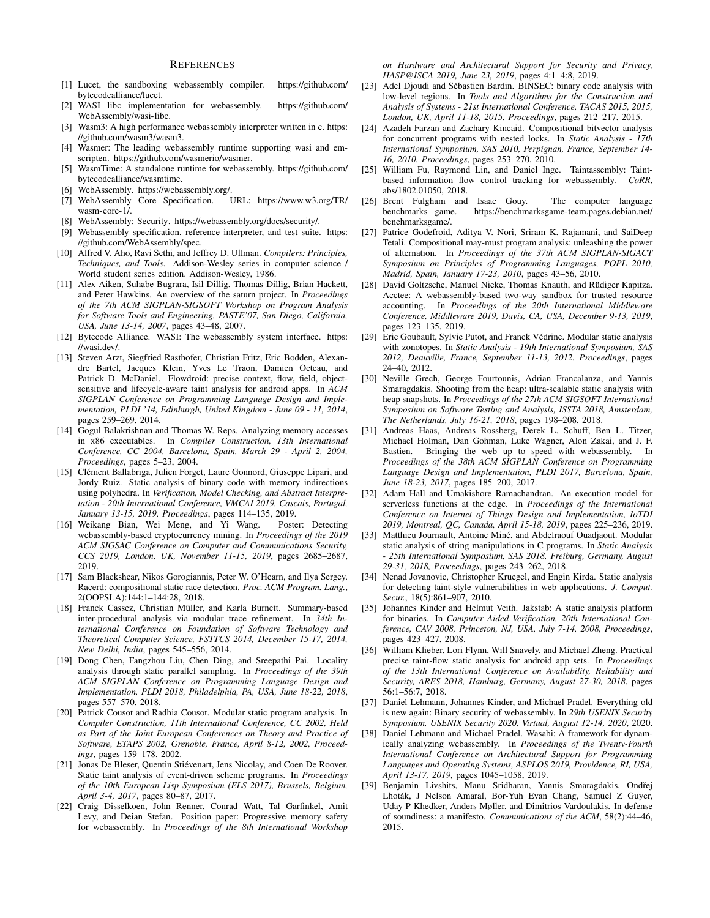# **REFERENCES**

- <span id="page-10-5"></span>[1] Lucet, the sandboxing webassembly compiler. [https://github.com/](https://github.com/bytecodealliance/lucet) [bytecodealliance/lucet.](https://github.com/bytecodealliance/lucet)
- <span id="page-10-30"></span>[2] WASI libc implementation for webassembly. [https://github.com/](https://github.com/WebAssembly/wasi-libc) [WebAssembly/wasi-libc.](https://github.com/WebAssembly/wasi-libc)
- <span id="page-10-6"></span>[3] Wasm3: A high performance webassembly interpreter written in c. [https:](https://github.com/wasm3/wasm3) [//github.com/wasm3/wasm3.](https://github.com/wasm3/wasm3)
- [4] Wasmer: The leading webassembly runtime supporting wasi and emscripten. [https://github.com/wasmerio/wasmer.](https://github.com/wasmerio/wasmer)
- <span id="page-10-7"></span>[5] WasmTime: A standalone runtime for webassembly. [https://github.com/](https://github.com/bytecodealliance/wasmtime) [bytecodealliance/wasmtime.](https://github.com/bytecodealliance/wasmtime)
- <span id="page-10-1"></span>[6] WebAssembly. [https://webassembly.org/.](https://webassembly.org/)
- <span id="page-10-2"></span>[7] WebAssembly Core Specification. URL: [https://www.w3.org/TR/](https://www.w3.org/TR/wasm-core-1/) [wasm-core-1/.](https://www.w3.org/TR/wasm-core-1/)
- <span id="page-10-14"></span>[8] WebAssembly: Security. [https://webassembly.org/docs/security/.](https://webassembly.org/docs/security/)
- <span id="page-10-24"></span>[9] Webassembly specification, reference interpreter, and test suite. [https:](https://github.com/WebAssembly/spec) [//github.com/WebAssembly/spec.](https://github.com/WebAssembly/spec)
- <span id="page-10-25"></span>[10] Alfred V. Aho, Ravi Sethi, and Jeffrey D. Ullman. *Compilers: Principles, Techniques, and Tools*. Addison-Wesley series in computer science / World student series edition. Addison-Wesley, 1986.
- <span id="page-10-32"></span>[11] Alex Aiken, Suhabe Bugrara, Isil Dillig, Thomas Dillig, Brian Hackett, and Peter Hawkins. An overview of the saturn project. In *Proceedings of the 7th ACM SIGPLAN-SIGSOFT Workshop on Program Analysis for Software Tools and Engineering, PASTE'07, San Diego, California, USA, June 13-14, 2007*, pages 43–48, 2007.
- <span id="page-10-3"></span>[12] Bytecode Alliance. WASI: The webassembly system interface. [https:](https://wasi.dev/) [//wasi.dev/.](https://wasi.dev/)
- <span id="page-10-34"></span>[13] Steven Arzt, Siegfried Rasthofer, Christian Fritz, Eric Bodden, Alexandre Bartel, Jacques Klein, Yves Le Traon, Damien Octeau, and Patrick D. McDaniel. Flowdroid: precise context, flow, field, objectsensitive and lifecycle-aware taint analysis for android apps. In *ACM SIGPLAN Conference on Programming Language Design and Implementation, PLDI '14, Edinburgh, United Kingdom - June 09 - 11, 2014*, pages 259–269, 2014.
- <span id="page-10-17"></span>[14] Gogul Balakrishnan and Thomas W. Reps. Analyzing memory accesses in x86 executables. In *Compiler Construction, 13th International Conference, CC 2004, Barcelona, Spain, March 29 - April 2, 2004, Proceedings*, pages 5–23, 2004.
- <span id="page-10-28"></span>[15] Clément Ballabriga, Julien Forget, Laure Gonnord, Giuseppe Lipari, and Jordy Ruiz. Static analysis of binary code with memory indirections using polyhedra. In *Verification, Model Checking, and Abstract Interpretation - 20th International Conference, VMCAI 2019, Cascais, Portugal, January 13-15, 2019, Proceedings*, pages 114–135, 2019.
- <span id="page-10-11"></span>[16] Weikang Bian, Wei Meng, and Yi Wang. Poster: Detecting webassembly-based cryptocurrency mining. In *Proceedings of the 2019 ACM SIGSAC Conference on Computer and Communications Security, CCS 2019, London, UK, November 11-15, 2019*, pages 2685–2687, 2019.
- <span id="page-10-19"></span>[17] Sam Blackshear, Nikos Gorogiannis, Peter W. O'Hearn, and Ilya Sergey. Racerd: compositional static race detection. *Proc. ACM Program. Lang.*, 2(OOPSLA):144:1–144:28, 2018.
- <span id="page-10-33"></span>[18] Franck Cassez, Christian Müller, and Karla Burnett. Summary-based inter-procedural analysis via modular trace refinement. In *34th International Conference on Foundation of Software Technology and Theoretical Computer Science, FSTTCS 2014, December 15-17, 2014, New Delhi, India*, pages 545–556, 2014.
- <span id="page-10-29"></span>[19] Dong Chen, Fangzhou Liu, Chen Ding, and Sreepathi Pai. Locality analysis through static parallel sampling. In *Proceedings of the 39th ACM SIGPLAN Conference on Programming Language Design and Implementation, PLDI 2018, Philadelphia, PA, USA, June 18-22, 2018*, pages 557–570, 2018.
- <span id="page-10-13"></span>[20] Patrick Cousot and Radhia Cousot. Modular static program analysis. In *Compiler Construction, 11th International Conference, CC 2002, Held as Part of the Joint European Conferences on Theory and Practice of Software, ETAPS 2002, Grenoble, France, April 8-12, 2002, Proceedings*, pages 159–178, 2002.
- <span id="page-10-37"></span>[21] Jonas De Bleser, Quentin Stiévenart, Jens Nicolay, and Coen De Roover. Static taint analysis of event-driven scheme programs. In *Proceedings of the 10th European Lisp Symposium (ELS 2017), Brussels, Belgium, April 3-4, 2017*, pages 80–87, 2017.
- <span id="page-10-9"></span>[22] Craig Disselkoen, John Renner, Conrad Watt, Tal Garfinkel, Amit Levy, and Deian Stefan. Position paper: Progressive memory safety for webassembly. In *Proceedings of the 8th International Workshop*

*on Hardware and Architectural Support for Security and Privacy, HASP@ISCA 2019, June 23, 2019*, pages 4:1–4:8, 2019.

- <span id="page-10-15"></span>[23] Adel Djoudi and Sébastien Bardin. BINSEC: binary code analysis with low-level regions. In *Tools and Algorithms for the Construction and Analysis of Systems - 21st International Conference, TACAS 2015, 2015, London, UK, April 11-18, 2015. Proceedings*, pages 212–217, 2015.
- <span id="page-10-20"></span>[24] Azadeh Farzan and Zachary Kincaid. Compositional bitvector analysis for concurrent programs with nested locks. In *Static Analysis - 17th International Symposium, SAS 2010, Perpignan, France, September 14- 16, 2010. Proceedings*, pages 253–270, 2010.
- <span id="page-10-12"></span>[25] William Fu, Raymond Lin, and Daniel Inge. Taintassembly: Taintbased information flow control tracking for webassembly. *CoRR*, abs/1802.01050, 2018.
- <span id="page-10-27"></span>[26] Brent Fulgham and Isaac Gouy. The computer language benchmarks game. https://benchmarksgame-team.pages.debian.net/ benchmarks game. [https://benchmarksgame-team.pages.debian.net/](https://benchmarksgame-team.pages.debian.net/benchmarksgame/) [benchmarksgame/.](https://benchmarksgame-team.pages.debian.net/benchmarksgame/)
- <span id="page-10-21"></span>[27] Patrice Godefroid, Aditya V. Nori, Sriram K. Rajamani, and SaiDeep Tetali. Compositional may-must program analysis: unleashing the power of alternation. In *Proceedings of the 37th ACM SIGPLAN-SIGACT Symposium on Principles of Programming Languages, POPL 2010, Madrid, Spain, January 17-23, 2010*, pages 43–56, 2010.
- <span id="page-10-10"></span>[28] David Goltzsche, Manuel Nieke, Thomas Knauth, and Rüdiger Kapitza. Acctee: A webassembly-based two-way sandbox for trusted resource accounting. In *Proceedings of the 20th International Middleware Conference, Middleware 2019, Davis, CA, USA, December 9-13, 2019*, pages 123–135, 2019.
- <span id="page-10-22"></span>[29] Eric Goubault, Sylvie Putot, and Franck Védrine. Modular static analysis with zonotopes. In *Static Analysis - 19th International Symposium, SAS 2012, Deauville, France, September 11-13, 2012. Proceedings*, pages 24–40, 2012.
- <span id="page-10-18"></span>[30] Neville Grech, George Fourtounis, Adrian Francalanza, and Yannis Smaragdakis. Shooting from the heap: ultra-scalable static analysis with heap snapshots. In *Proceedings of the 27th ACM SIGSOFT International Symposium on Software Testing and Analysis, ISSTA 2018, Amsterdam, The Netherlands, July 16-21, 2018*, pages 198–208, 2018.
- <span id="page-10-0"></span>[31] Andreas Haas, Andreas Rossberg, Derek L. Schuff, Ben L. Titzer, Michael Holman, Dan Gohman, Luke Wagner, Alon Zakai, and J. F. Bastien. Bringing the web up to speed with webassembly. In *Proceedings of the 38th ACM SIGPLAN Conference on Programming Language Design and Implementation, PLDI 2017, Barcelona, Spain, June 18-23, 2017*, pages 185–200, 2017.
- <span id="page-10-4"></span>[32] Adam Hall and Umakishore Ramachandran. An execution model for serverless functions at the edge. In *Proceedings of the International Conference on Internet of Things Design and Implementation, IoTDI 2019, Montreal, QC, Canada, April 15-18, 2019*, pages 225–236, 2019.
- <span id="page-10-23"></span>[33] Matthieu Journault, Antoine Miné, and Abdelraouf Ouadjaout. Modular static analysis of string manipulations in C programs. In *Static Analysis - 25th International Symposium, SAS 2018, Freiburg, Germany, August 29-31, 2018, Proceedings*, pages 243–262, 2018.
- <span id="page-10-36"></span>[34] Nenad Jovanovic, Christopher Kruegel, and Engin Kirda. Static analysis for detecting taint-style vulnerabilities in web applications. *J. Comput. Secur.*, 18(5):861–907, 2010.
- <span id="page-10-16"></span>[35] Johannes Kinder and Helmut Veith. Jakstab: A static analysis platform for binaries. In *Computer Aided Verification, 20th International Conference, CAV 2008, Princeton, NJ, USA, July 7-14, 2008, Proceedings*, pages 423–427, 2008.
- <span id="page-10-35"></span>[36] William Klieber, Lori Flynn, Will Snavely, and Michael Zheng. Practical precise taint-flow static analysis for android app sets. In *Proceedings of the 13th International Conference on Availability, Reliability and Security, ARES 2018, Hamburg, Germany, August 27-30, 2018*, pages 56:1–56:7, 2018.
- <span id="page-10-8"></span>[37] Daniel Lehmann, Johannes Kinder, and Michael Pradel. Everything old is new again: Binary security of webassembly. In *29th USENIX Security Symposium, USENIX Security 2020, Virtual, August 12-14, 2020*, 2020.
- <span id="page-10-31"></span>[38] Daniel Lehmann and Michael Pradel. Wasabi: A framework for dynamically analyzing webassembly. In *Proceedings of the Twenty-Fourth International Conference on Architectural Support for Programming Languages and Operating Systems, ASPLOS 2019, Providence, RI, USA, April 13-17, 2019*, pages 1045–1058, 2019.
- <span id="page-10-26"></span>[39] Benjamin Livshits, Manu Sridharan, Yannis Smaragdakis, Ondřej Lhoták, J Nelson Amaral, Bor-Yuh Evan Chang, Samuel Z Guyer, Uday P Khedker, Anders Møller, and Dimitrios Vardoulakis. In defense of soundiness: a manifesto. *Communications of the ACM*, 58(2):44–46, 2015.